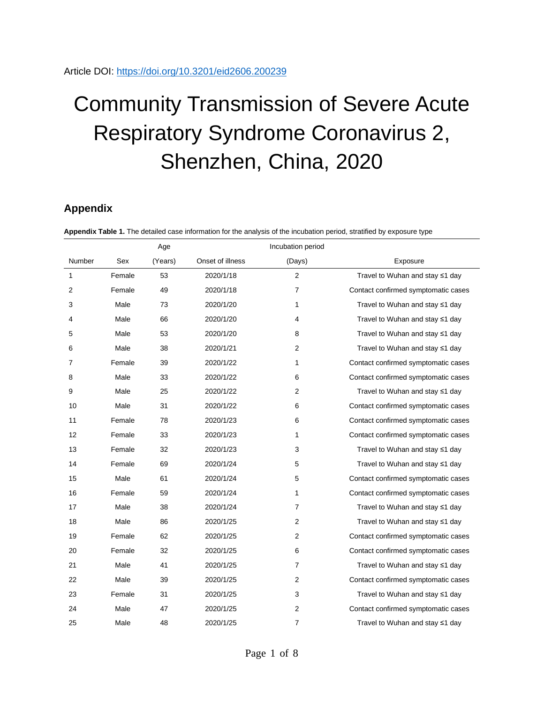## Community Transmission of Severe Acute Respiratory Syndrome Coronavirus 2, Shenzhen, China, 2020

## **Appendix**

|              |        | Age     |                  | Incubation period |                                       |
|--------------|--------|---------|------------------|-------------------|---------------------------------------|
| Number       | Sex    | (Years) | Onset of illness | (Days)            | Exposure                              |
| $\mathbf{1}$ | Female | 53      | 2020/1/18        | 2                 | Travel to Wuhan and stay ≤1 day       |
| 2            | Female | 49      | 2020/1/18        | $\overline{7}$    | Contact confirmed symptomatic cases   |
| 3            | Male   | 73      | 2020/1/20        | 1                 | Travel to Wuhan and stay ≤1 day       |
| 4            | Male   | 66      | 2020/1/20        | 4                 | Travel to Wuhan and stay ≤1 day       |
| 5            | Male   | 53      | 2020/1/20        | 8                 | Travel to Wuhan and stay $\leq 1$ day |
| 6            | Male   | 38      | 2020/1/21        | 2                 | Travel to Wuhan and stay ≤1 day       |
| 7            | Female | 39      | 2020/1/22        | 1                 | Contact confirmed symptomatic cases   |
| 8            | Male   | 33      | 2020/1/22        | 6                 | Contact confirmed symptomatic cases   |
| 9            | Male   | 25      | 2020/1/22        | $\overline{2}$    | Travel to Wuhan and stay ≤1 day       |
| 10           | Male   | 31      | 2020/1/22        | 6                 | Contact confirmed symptomatic cases   |
| 11           | Female | 78      | 2020/1/23        | 6                 | Contact confirmed symptomatic cases   |
| 12           | Female | 33      | 2020/1/23        | 1                 | Contact confirmed symptomatic cases   |
| 13           | Female | 32      | 2020/1/23        | 3                 | Travel to Wuhan and stay $\leq 1$ day |
| 14           | Female | 69      | 2020/1/24        | 5                 | Travel to Wuhan and stay ≤1 day       |
| 15           | Male   | 61      | 2020/1/24        | 5                 | Contact confirmed symptomatic cases   |
| 16           | Female | 59      | 2020/1/24        | 1                 | Contact confirmed symptomatic cases   |
| 17           | Male   | 38      | 2020/1/24        | $\overline{7}$    | Travel to Wuhan and stay ≤1 day       |
| 18           | Male   | 86      | 2020/1/25        | $\overline{2}$    | Travel to Wuhan and stay ≤1 day       |
| 19           | Female | 62      | 2020/1/25        | 2                 | Contact confirmed symptomatic cases   |
| 20           | Female | 32      | 2020/1/25        | 6                 | Contact confirmed symptomatic cases   |
| 21           | Male   | 41      | 2020/1/25        | $\overline{7}$    | Travel to Wuhan and stay ≤1 day       |
| 22           | Male   | 39      | 2020/1/25        | 2                 | Contact confirmed symptomatic cases   |
| 23           | Female | 31      | 2020/1/25        | 3                 | Travel to Wuhan and stay ≤1 day       |
| 24           | Male   | 47      | 2020/1/25        | $\overline{c}$    | Contact confirmed symptomatic cases   |
| 25           | Male   | 48      | 2020/1/25        | 7                 | Travel to Wuhan and stay ≤1 day       |

**Appendix Table 1.** The detailed case information for the analysis of the incubation period, stratified by exposure t<br>**Appendix Table 1.**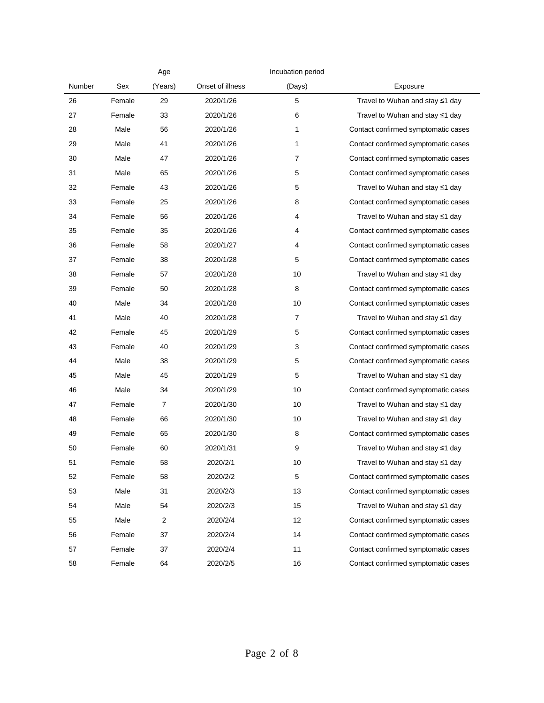|        |        | Age            |                  | Incubation period |                                       |
|--------|--------|----------------|------------------|-------------------|---------------------------------------|
| Number | Sex    | (Years)        | Onset of illness | (Days)            | Exposure                              |
| 26     | Female | 29             | 2020/1/26        | 5                 | Travel to Wuhan and stay $\leq 1$ day |
| 27     | Female | 33             | 2020/1/26        | 6                 | Travel to Wuhan and stay $\leq 1$ day |
| 28     | Male   | 56             | 2020/1/26        | 1                 | Contact confirmed symptomatic cases   |
| 29     | Male   | 41             | 2020/1/26        | 1                 | Contact confirmed symptomatic cases   |
| 30     | Male   | 47             | 2020/1/26        | 7                 | Contact confirmed symptomatic cases   |
| 31     | Male   | 65             | 2020/1/26        | 5                 | Contact confirmed symptomatic cases   |
| 32     | Female | 43             | 2020/1/26        | 5                 | Travel to Wuhan and stay $\leq 1$ day |
| 33     | Female | 25             | 2020/1/26        | 8                 | Contact confirmed symptomatic cases   |
| 34     | Female | 56             | 2020/1/26        | 4                 | Travel to Wuhan and stay ≤1 day       |
| 35     | Female | 35             | 2020/1/26        | 4                 | Contact confirmed symptomatic cases   |
| 36     | Female | 58             | 2020/1/27        | 4                 | Contact confirmed symptomatic cases   |
| 37     | Female | 38             | 2020/1/28        | 5                 | Contact confirmed symptomatic cases   |
| 38     | Female | 57             | 2020/1/28        | 10                | Travel to Wuhan and stay ≤1 day       |
| 39     | Female | 50             | 2020/1/28        | 8                 | Contact confirmed symptomatic cases   |
| 40     | Male   | 34             | 2020/1/28        | 10                | Contact confirmed symptomatic cases   |
| 41     | Male   | 40             | 2020/1/28        | 7                 | Travel to Wuhan and stay ≤1 day       |
| 42     | Female | 45             | 2020/1/29        | 5                 | Contact confirmed symptomatic cases   |
| 43     | Female | 40             | 2020/1/29        | 3                 | Contact confirmed symptomatic cases   |
| 44     | Male   | 38             | 2020/1/29        | 5                 | Contact confirmed symptomatic cases   |
| 45     | Male   | 45             | 2020/1/29        | 5                 | Travel to Wuhan and stay ≤1 day       |
| 46     | Male   | 34             | 2020/1/29        | 10                | Contact confirmed symptomatic cases   |
| 47     | Female | 7              | 2020/1/30        | 10                | Travel to Wuhan and stay ≤1 day       |
| 48     | Female | 66             | 2020/1/30        | 10                | Travel to Wuhan and stay ≤1 day       |
| 49     | Female | 65             | 2020/1/30        | 8                 | Contact confirmed symptomatic cases   |
| 50     | Female | 60             | 2020/1/31        | 9                 | Travel to Wuhan and stay $\leq 1$ day |
| 51     | Female | 58             | 2020/2/1         | 10                | Travel to Wuhan and stay ≤1 day       |
| 52     | Female | 58             | 2020/2/2         | 5                 | Contact confirmed symptomatic cases   |
| 53     | Male   | 31             | 2020/2/3         | 13                | Contact confirmed symptomatic cases   |
| 54     | Male   | 54             | 2020/2/3         | 15                | Travel to Wuhan and stay ≤1 day       |
| 55     | Male   | $\overline{c}$ | 2020/2/4         | 12                | Contact confirmed symptomatic cases   |
| 56     | Female | 37             | 2020/2/4         | 14                | Contact confirmed symptomatic cases   |
| 57     | Female | 37             | 2020/2/4         | 11                | Contact confirmed symptomatic cases   |
| 58     | Female | 64             | 2020/2/5         | 16                | Contact confirmed symptomatic cases   |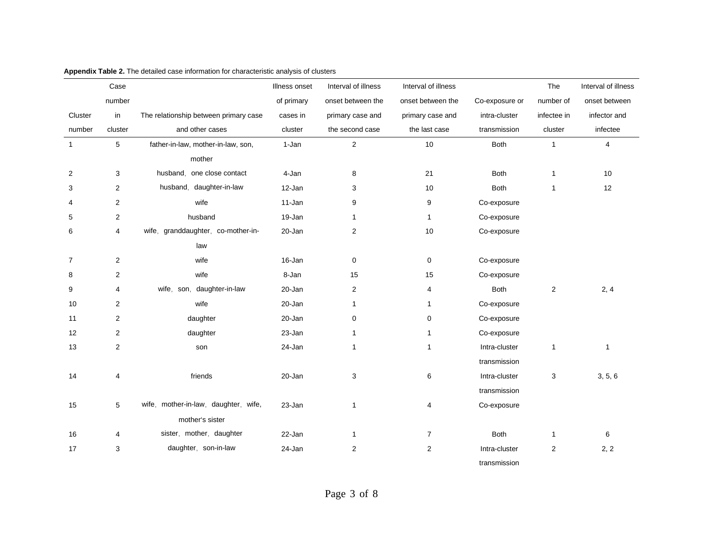|                | Case           |                                       | Illness onset | Interval of illness     | Interval of illness |                | The            | Interval of illness |
|----------------|----------------|---------------------------------------|---------------|-------------------------|---------------------|----------------|----------------|---------------------|
|                | number         |                                       | of primary    | onset between the       | onset between the   | Co-exposure or | number of      | onset between       |
| Cluster        | in             | The relationship between primary case | cases in      | primary case and        | primary case and    | intra-cluster  | infectee in    | infector and        |
| number         | cluster        | and other cases                       | cluster       | the second case         | the last case       | transmission   | cluster        | infectee            |
|                | 5              | father-in-law, mother-in-law, son,    | 1-Jan         | $\overline{2}$          | 10                  | <b>Both</b>    | $\mathbf{1}$   | $\overline{4}$      |
|                |                | mother                                |               |                         |                     |                |                |                     |
| 2              | 3              | one close contact<br>husband.         | 4-Jan         | 8                       | 21                  | <b>Both</b>    | $\mathbf{1}$   | 10                  |
| 3              | $\overline{2}$ | husband, daughter-in-law              | 12-Jan        | 3                       | 10                  | <b>Both</b>    | $\mathbf{1}$   | 12                  |
| 4              | 2              | wife                                  | 11-Jan        | 9                       | 9                   | Co-exposure    |                |                     |
| 5              | 2              | husband                               | 19-Jan        | $\mathbf{1}$            | $\mathbf{1}$        | Co-exposure    |                |                     |
| 6              | 4              | wife, granddaughter, co-mother-in-    | 20-Jan        | $\overline{\mathbf{c}}$ | 10                  | Co-exposure    |                |                     |
|                |                | law                                   |               |                         |                     |                |                |                     |
| $\overline{7}$ | 2              | wife                                  | 16-Jan        | 0                       | 0                   | Co-exposure    |                |                     |
| 8              | $\overline{2}$ | wife                                  | 8-Jan         | 15                      | 15                  | Co-exposure    |                |                     |
| 9              | 4              | wife, son, daughter-in-law            | 20-Jan        | $\overline{2}$          | 4                   | <b>Both</b>    | $\overline{2}$ | 2, 4                |
| 10             | 2              | wife                                  | 20-Jan        | $\mathbf{1}$            | $\mathbf{1}$        | Co-exposure    |                |                     |
| 11             | 2              | daughter                              | 20-Jan        | $\mathbf 0$             | $\mathbf 0$         | Co-exposure    |                |                     |
| 12             | 2              | daughter                              | 23-Jan        | 1                       | $\mathbf{1}$        | Co-exposure    |                |                     |
| 13             | 2              | son                                   | 24-Jan        | 1                       | $\mathbf{1}$        | Intra-cluster  | 1              | 1                   |
|                |                |                                       |               |                         |                     | transmission   |                |                     |
| 14             | 4              | friends                               | 20-Jan        | 3                       | 6                   | Intra-cluster  | 3              | 3, 5, 6             |
|                |                |                                       |               |                         |                     | transmission   |                |                     |
| 15             | 5              | wife, mother-in-law, daughter, wife,  | 23-Jan        | $\mathbf{1}$            | 4                   | Co-exposure    |                |                     |
|                |                | mother's sister                       |               |                         |                     |                |                |                     |
| 16             | 4              | sister, mother, daughter              | 22-Jan        | $\mathbf{1}$            | $\overline{7}$      | <b>Both</b>    | 1              | 6                   |
| 17             | 3              | daughter, son-in-law                  | 24-Jan        | 2                       | $\mathbf{2}$        | Intra-cluster  | $\overline{2}$ | 2, 2                |
|                |                |                                       |               |                         |                     | transmission   |                |                     |

## **Appendix Table 2.** The detailed case information for characteristic analysis of clusters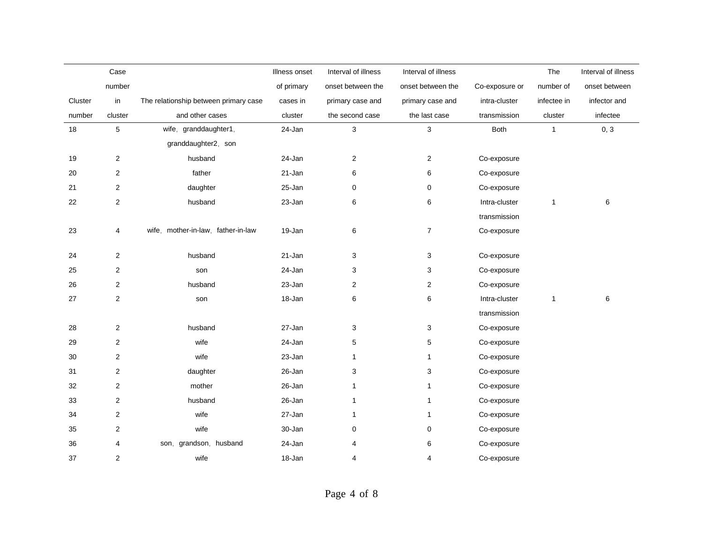|         | Case           |                                       | Illness onset | Interval of illness | Interval of illness |                | The          | Interval of illness |
|---------|----------------|---------------------------------------|---------------|---------------------|---------------------|----------------|--------------|---------------------|
|         | number         |                                       | of primary    | onset between the   | onset between the   | Co-exposure or | number of    | onset between       |
| Cluster | in             | The relationship between primary case | cases in      | primary case and    | primary case and    | intra-cluster  | infectee in  | infector and        |
| number  | cluster        | and other cases                       | cluster       | the second case     | the last case       | transmission   | cluster      | infectee            |
| 18      | 5              | wife, granddaughter1,                 | 24-Jan        | 3                   | 3                   | Both           | $\mathbf{1}$ | 0, 3                |
|         |                | granddaughter2, son                   |               |                     |                     |                |              |                     |
| 19      | 2              | husband                               | 24-Jan        | $\overline{2}$      | $\overline{2}$      | Co-exposure    |              |                     |
| 20      | $\overline{2}$ | father                                | 21-Jan        | 6                   | 6                   | Co-exposure    |              |                     |
| 21      | 2              | daughter                              | 25-Jan        | 0                   | 0                   | Co-exposure    |              |                     |
| 22      | 2              | husband                               | 23-Jan        | 6                   | 6                   | Intra-cluster  | 1            | 6                   |
|         |                |                                       |               |                     |                     | transmission   |              |                     |
| 23      | 4              | wife, mother-in-law, father-in-law    | 19-Jan        | 6                   | $\overline{7}$      | Co-exposure    |              |                     |
|         |                |                                       |               |                     |                     |                |              |                     |
| 24      | $\overline{2}$ | husband                               | 21-Jan        | 3                   | $\mathbf{3}$        | Co-exposure    |              |                     |
| 25      | 2              | son                                   | 24-Jan        | 3                   | 3                   | Co-exposure    |              |                     |
| 26      | 2              | husband                               | 23-Jan        | $\overline{2}$      | $\overline{2}$      | Co-exposure    |              |                     |
| 27      | 2              | son                                   | 18-Jan        | 6                   | $\,6\,$             | Intra-cluster  | $\mathbf{1}$ | 6                   |
|         |                |                                       |               |                     |                     | transmission   |              |                     |
| 28      | $\overline{2}$ | husband                               | 27-Jan        | 3                   | 3                   | Co-exposure    |              |                     |
| 29      | 2              | wife                                  | 24-Jan        | $\mathbf 5$         | 5                   | Co-exposure    |              |                     |
| 30      | $\overline{2}$ | wife                                  | 23-Jan        | $\mathbf{1}$        | $\mathbf{1}$        | Co-exposure    |              |                     |
| 31      | 2              | daughter                              | 26-Jan        | 3                   | 3                   | Co-exposure    |              |                     |
| 32      | 2              | mother                                | 26-Jan        | $\mathbf{1}$        | $\mathbf{1}$        | Co-exposure    |              |                     |
| 33      | 2              | husband                               | 26-Jan        | $\mathbf{1}$        | $\mathbf{1}$        | Co-exposure    |              |                     |
| 34      | 2              | wife                                  | 27-Jan        | $\mathbf{1}$        | $\mathbf{1}$        | Co-exposure    |              |                     |
| 35      | 2              | wife                                  | 30-Jan        | 0                   | 0                   | Co-exposure    |              |                     |
| 36      | 4              | son, grandson,<br>husband             | 24-Jan        | 4                   | 6                   | Co-exposure    |              |                     |
| 37      | 2              | wife                                  | 18-Jan        | 4                   | $\overline{4}$      | Co-exposure    |              |                     |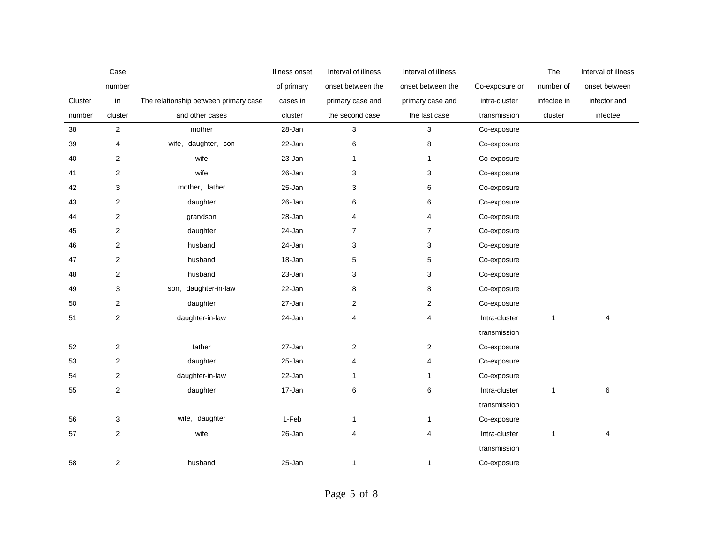|         | Case           |                                       | Illness onset | Interval of illness | Interval of illness     |                | The          | Interval of illness |
|---------|----------------|---------------------------------------|---------------|---------------------|-------------------------|----------------|--------------|---------------------|
|         | number         |                                       | of primary    | onset between the   | onset between the       | Co-exposure or | number of    | onset between       |
| Cluster | in             | The relationship between primary case | cases in      | primary case and    | primary case and        | intra-cluster  | infectee in  | infector and        |
| number  | cluster        | and other cases                       | cluster       | the second case     | the last case           | transmission   | cluster      | infectee            |
| 38      | $\overline{2}$ | mother                                | 28-Jan        | 3                   | 3                       | Co-exposure    |              |                     |
| 39      | 4              | wife, daughter, son                   | 22-Jan        | 6                   | 8                       | Co-exposure    |              |                     |
| 40      | 2              | wife                                  | 23-Jan        | $\mathbf{1}$        | 1                       | Co-exposure    |              |                     |
| 41      | $\overline{2}$ | wife                                  | 26-Jan        | 3                   | 3                       | Co-exposure    |              |                     |
| 42      | 3              | mother, father                        | 25-Jan        | 3                   | 6                       | Co-exposure    |              |                     |
| 43      | 2              | daughter                              | 26-Jan        | 6                   | 6                       | Co-exposure    |              |                     |
| 44      | 2              | grandson                              | 28-Jan        | 4                   | 4                       | Co-exposure    |              |                     |
| 45      | 2              | daughter                              | 24-Jan        | $\overline{7}$      | $\overline{7}$          | Co-exposure    |              |                     |
| 46      | $\mathbf{2}$   | husband                               | 24-Jan        | 3                   | 3                       | Co-exposure    |              |                     |
| 47      | 2              | husband                               | 18-Jan        | 5                   | $\mathbf 5$             | Co-exposure    |              |                     |
| 48      | $\overline{2}$ | husband                               | 23-Jan        | 3                   | 3                       | Co-exposure    |              |                     |
| 49      | 3              | daughter-in-law<br>son,               | 22-Jan        | 8                   | 8                       | Co-exposure    |              |                     |
| 50      | 2              | daughter                              | 27-Jan        | $\overline{c}$      | $\boldsymbol{2}$        | Co-exposure    |              |                     |
| 51      | $\mathbf{2}$   | daughter-in-law                       | 24-Jan        | 4                   | $\overline{\mathbf{4}}$ | Intra-cluster  | $\mathbf{1}$ | 4                   |
|         |                |                                       |               |                     |                         | transmission   |              |                     |
| 52      | $\overline{c}$ | father                                | 27-Jan        | $\overline{2}$      | $\overline{c}$          | Co-exposure    |              |                     |
| 53      | $\overline{2}$ | daughter                              | 25-Jan        | 4                   | 4                       | Co-exposure    |              |                     |
| 54      | $\overline{c}$ | daughter-in-law                       | 22-Jan        | $\mathbf{1}$        | $\mathbf{1}$            | Co-exposure    |              |                     |
| 55      | 2              | daughter                              | 17-Jan        | 6                   | 6                       | Intra-cluster  | $\mathbf{1}$ | 6                   |
|         |                |                                       |               |                     |                         | transmission   |              |                     |
| 56      | 3              | wife, daughter                        | 1-Feb         | 1                   | $\mathbf{1}$            | Co-exposure    |              |                     |
| 57      | 2              | wife                                  | 26-Jan        | 4                   | 4                       | Intra-cluster  | $\mathbf{1}$ | 4                   |
|         |                |                                       |               |                     |                         | transmission   |              |                     |
| 58      | 2              | husband                               | 25-Jan        | 1                   | $\mathbf{1}$            | Co-exposure    |              |                     |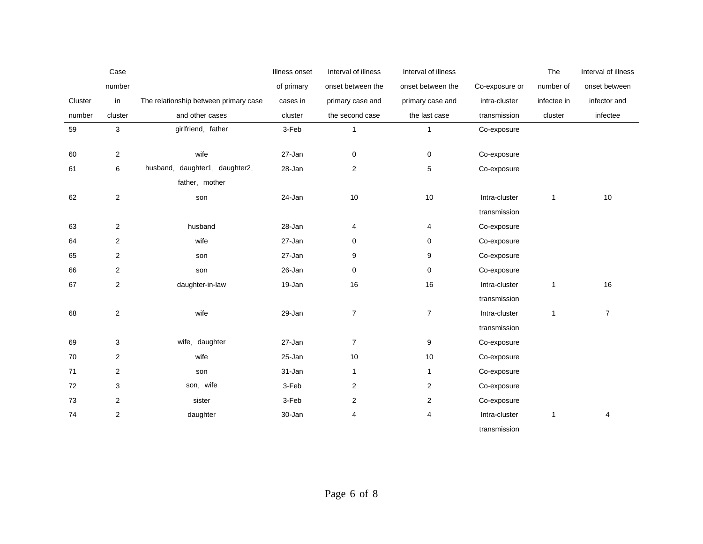|         | Case           |                                       | Illness onset | Interval of illness | Interval of illness     |                | The          | Interval of illness |
|---------|----------------|---------------------------------------|---------------|---------------------|-------------------------|----------------|--------------|---------------------|
|         | number         |                                       | of primary    | onset between the   | onset between the       | Co-exposure or | number of    | onset between       |
| Cluster | in             | The relationship between primary case | cases in      | primary case and    | primary case and        | intra-cluster  | infectee in  | infector and        |
| number  | cluster        | and other cases                       | cluster       | the second case     | the last case           | transmission   | cluster      | infectee            |
| 59      | 3              | girlfriend, father                    | 3-Feb         | 1                   | $\mathbf{1}$            | Co-exposure    |              |                     |
|         |                |                                       |               |                     |                         |                |              |                     |
| 60      | $\overline{c}$ | wife                                  | 27-Jan        | 0                   | 0                       | Co-exposure    |              |                     |
| 61      | 6              | husband, daughter1, daughter2,        | 28-Jan        | $\overline{2}$      | $\mathbf 5$             | Co-exposure    |              |                     |
|         |                | father, mother                        |               |                     |                         |                |              |                     |
| 62      | $\mathbf 2$    | son                                   | 24-Jan        | 10                  | 10                      | Intra-cluster  | $\mathbf{1}$ | 10                  |
|         |                |                                       |               |                     |                         | transmission   |              |                     |
| 63      | 2              | husband                               | 28-Jan        | 4                   | 4                       | Co-exposure    |              |                     |
| 64      | 2              | wife                                  | 27-Jan        | 0                   | 0                       | Co-exposure    |              |                     |
| 65      | 2              | son                                   | 27-Jan        | 9                   | 9                       | Co-exposure    |              |                     |
| 66      | 2              | son                                   | 26-Jan        | $\pmb{0}$           | $\mathsf 0$             | Co-exposure    |              |                     |
| 67      | $\mathbf{2}$   | daughter-in-law                       | 19-Jan        | 16                  | 16                      | Intra-cluster  | $\mathbf{1}$ | 16                  |
|         |                |                                       |               |                     |                         | transmission   |              |                     |
| 68      | $\overline{c}$ | wife                                  | 29-Jan        | $\overline{7}$      | $\overline{7}$          | Intra-cluster  | $\mathbf{1}$ | $\overline{7}$      |
|         |                |                                       |               |                     |                         | transmission   |              |                     |
| 69      | 3              | wife, daughter                        | 27-Jan        | $\overline{7}$      | 9                       | Co-exposure    |              |                     |
| 70      | $\overline{2}$ | wife                                  | 25-Jan        | $10$                | 10                      | Co-exposure    |              |                     |
| 71      | 2              | son                                   | 31-Jan        | $\mathbf{1}$        | $\mathbf{1}$            | Co-exposure    |              |                     |
| 72      | 3              | son, wife                             | 3-Feb         | $\overline{2}$      | $\overline{2}$          | Co-exposure    |              |                     |
| 73      | 2              | sister                                | 3-Feb         | $\overline{2}$      | $\overline{2}$          | Co-exposure    |              |                     |
| 74      | $\mathbf 2$    | daughter                              | 30-Jan        | 4                   | $\overline{\mathbf{4}}$ | Intra-cluster  | 1            | 4                   |
|         |                |                                       |               |                     |                         | transmission   |              |                     |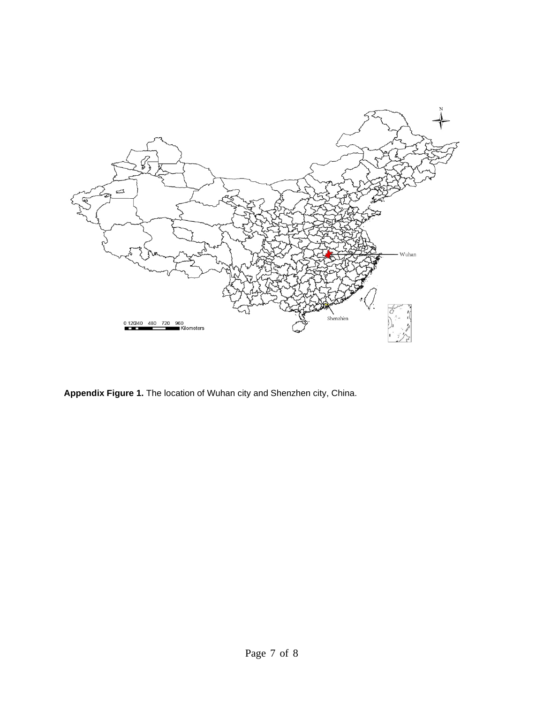

**Appendix Figure 1.** The location of Wuhan city and Shenzhen city, China.